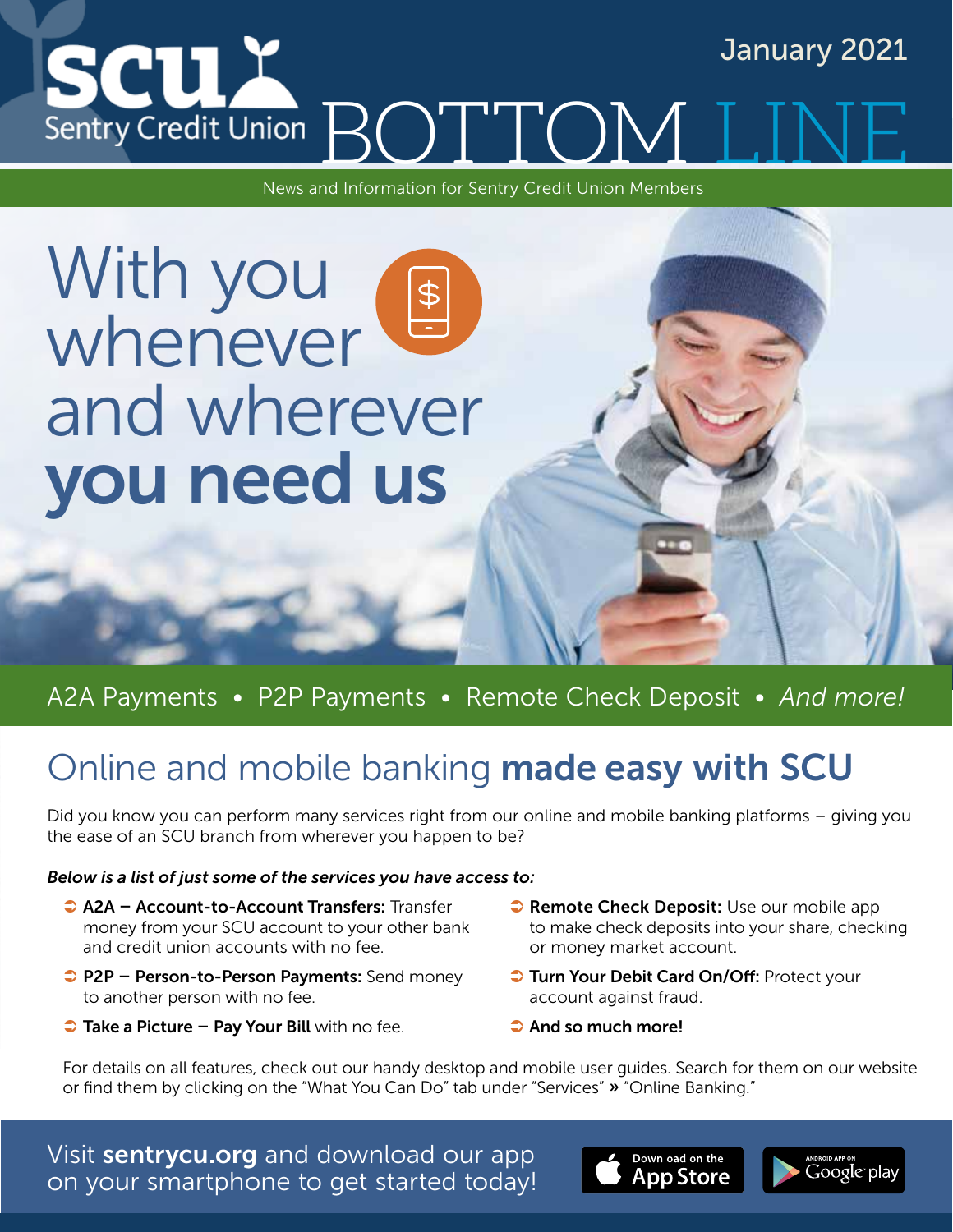

News and Information for Sentry Credit Union Members

# With you whenever and wherever you need us

## A2A Payments • P2P Payments • Remote Check Deposit • *And more!*

# Online and mobile banking made easy with SCU

Did you know you can perform many services right from our online and mobile banking platforms – giving you the ease of an SCU branch from wherever you happen to be?

### *Below is a list of just some of the services you have access to:*

- A2A Account-to-Account Transfers: Transfer money from your SCU account to your other bank and credit union accounts with no fee.
- **P2P Person-to-Person Payments:** Send money to another person with no fee.
- $\bullet$  Take a Picture Pay Your Bill with no fee.
- **Remote Check Deposit:** Use our mobile app to make check deposits into your share, checking or money market account.
- **J** Turn Your Debit Card On/Off: Protect your account against fraud.
- $\bullet$  And so much more!

For details on all features, check out our handy desktop and mobile user guides. Search for them on our website or find them by clicking on the "What You Can Do" tab under "Services" » "Online Banking."

Visit sentrycu.org and download our app on your smartphone to get started today!



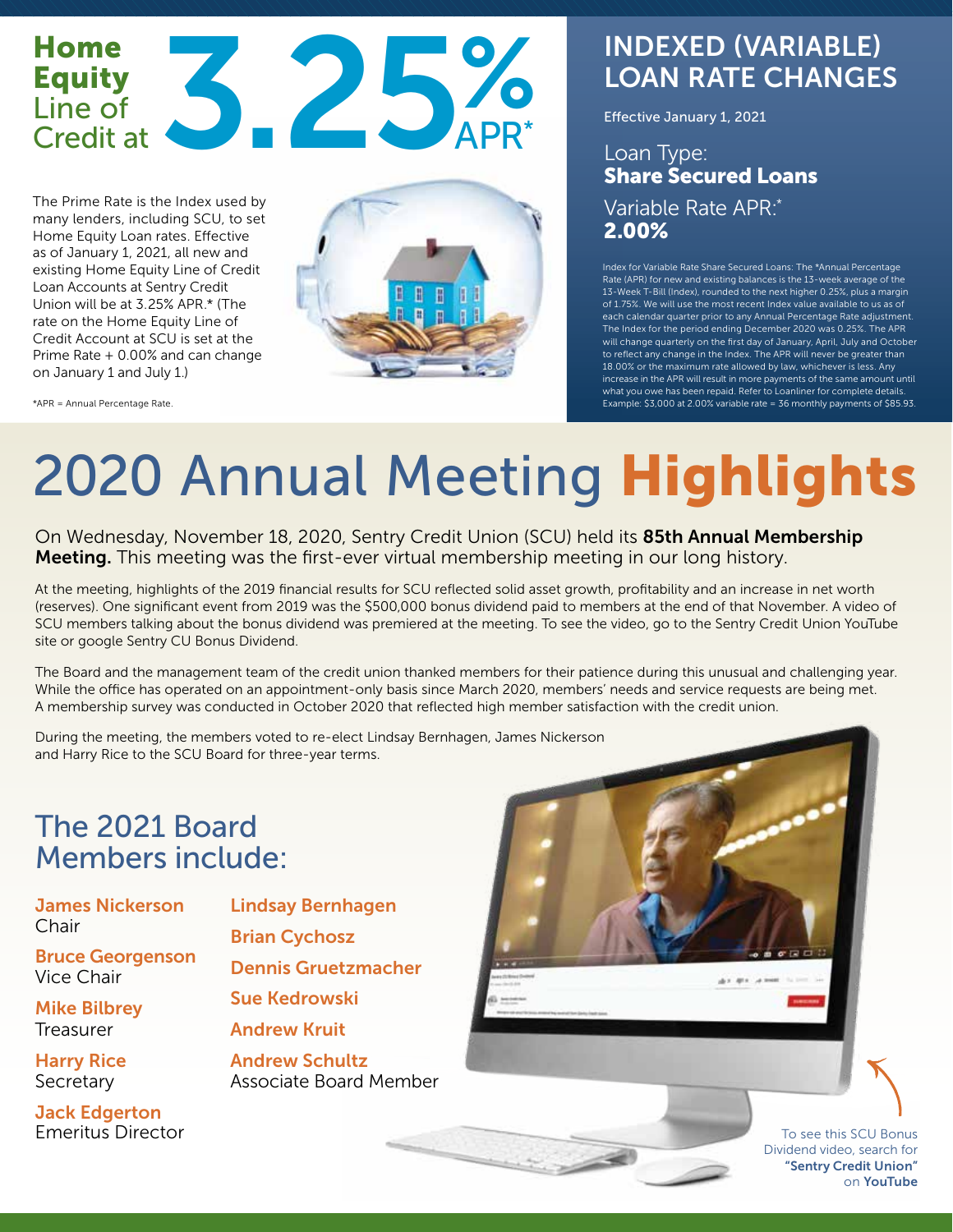## Home Equity Line of<br>Credit at Home<br>Equity<br>Credit at 3.25% APR\* APR\*

The Prime Rate is the Index used by many lenders, including SCU, to set Home Equity Loan rates. Effective as of January 1, 2021, all new and existing Home Equity Line of Credit Loan Accounts at Sentry Credit Union will be at 3.25% APR.\* (The rate on the Home Equity Line of Credit Account at SCU is set at the Prime Rate + 0.00% and can change on January 1 and July 1.)



\*APR = Annual Percentage Rate.

# INDEXED (VARIABLE) LOAN RATE CHANGES

Effective January 1, 2021

### Loan Type: Share Secured Loans Variable Rate APR:\* 2.00%

Index for Variable Rate Share Secured Loans: The \*Annual Percentage Rate (APR) for new and existing balances is the 13-week average of the 13-Week T-Bill (Index), rounded to the next higher 0.25%, plus a margin of 1.75%. We will use the most recent Index value available to us as of each calendar quarter prior to any Annual Percentage Rate adjustment. The Index for the period ending December 2020 was 0.25%. The APR will change quarterly on the first day of January, April, July and October to reflect any change in the Index. The APR will never be greater than 18.00% or the maximum rate allowed by law, whichever is less. Any increase in the APR will result in more payments of the same amount until what you owe has been repaid. Refer to Loanliner for complete details. Example: \$3,000 at 2.00% variable rate = 36 monthly payments of \$85.93.

# 2020 Annual Meeting Highlights

On Wednesday, November 18, 2020, Sentry Credit Union (SCU) held its 85th Annual Membership Meeting. This meeting was the first-ever virtual membership meeting in our long history.

At the meeting, highlights of the 2019 financial results for SCU reflected solid asset growth, profitability and an increase in net worth (reserves). One significant event from 2019 was the \$500,000 bonus dividend paid to members at the end of that November. A video of SCU members talking about the bonus dividend was premiered at the meeting. To see the video, go to the Sentry Credit Union YouTube site or google Sentry CU Bonus Dividend.

The Board and the management team of the credit union thanked members for their patience during this unusual and challenging year. While the office has operated on an appointment-only basis since March 2020, members' needs and service requests are being met. A membership survey was conducted in October 2020 that reflected high member satisfaction with the credit union.

During the meeting, the members voted to re-elect Lindsay Bernhagen, James Nickerson and Harry Rice to the SCU Board for three-year terms.

# The 2021 Board Members include:

James Nickerson **Chair** 

Bruce Georgenson Vice Chair

Mike Bilbrey Treasurer

Harry Rice **Secretary** 

Jack Edgerton Emeritus Director Lindsay Bernhagen Brian Cychosz

Dennis Gruetzmacher

Sue Kedrowski

Andrew Kruit

Andrew Schultz Associate Board Member

> To see this SCU Bonus Dividend video, search for "Sentry Credit Union" on YouTube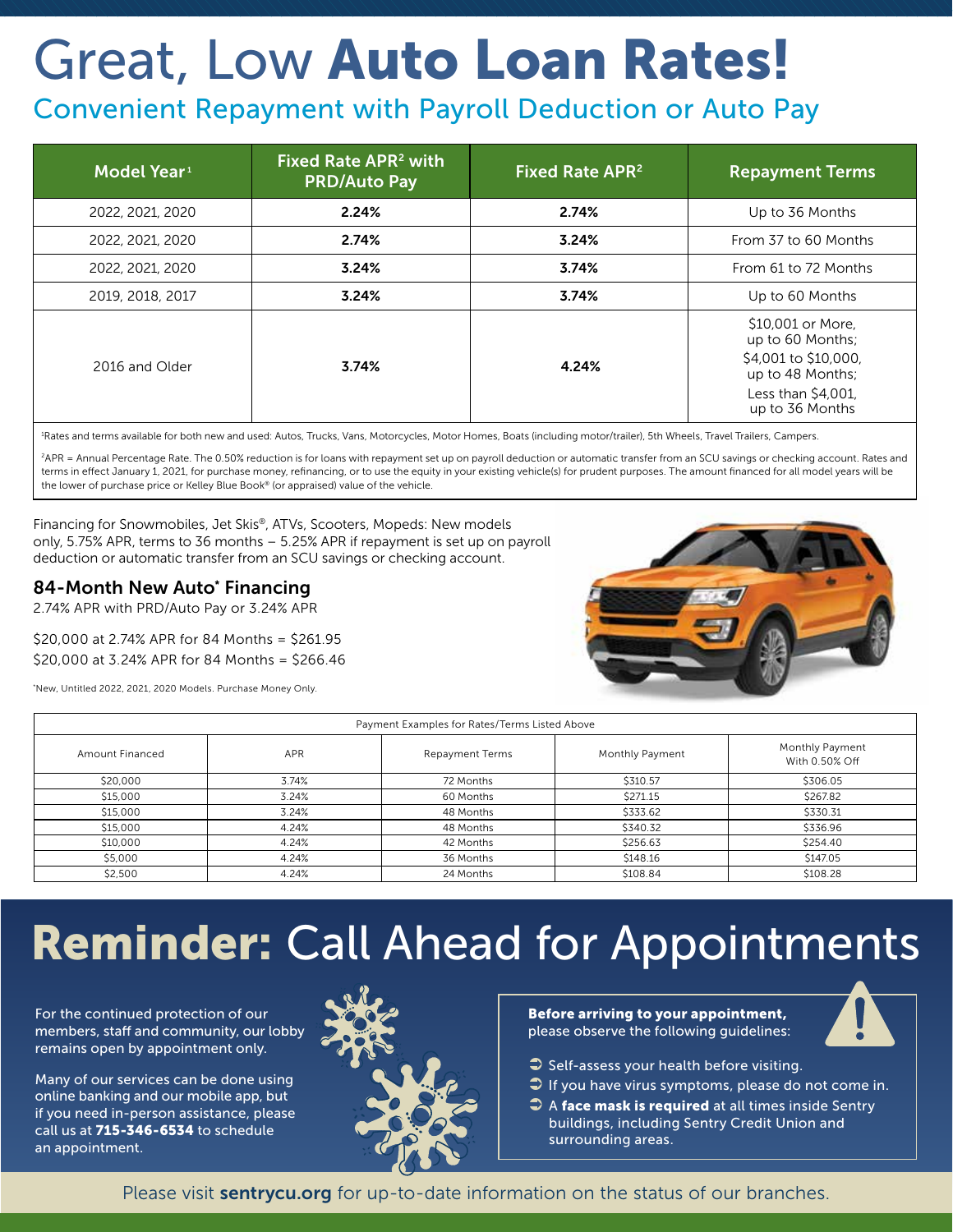# Great, Low Auto Loan Rates!

## Convenient Repayment with Payroll Deduction or Auto Pay

| Model Year <sup>1</sup> | Fixed Rate APR <sup>2</sup> with<br><b>PRD/Auto Pay</b> | Fixed Rate APR <sup>2</sup> | <b>Repayment Terms</b>                                                                                                     |
|-------------------------|---------------------------------------------------------|-----------------------------|----------------------------------------------------------------------------------------------------------------------------|
| 2022, 2021, 2020        | 2.24%                                                   | 2.74%                       | Up to 36 Months                                                                                                            |
| 2022, 2021, 2020        | 2.74%                                                   | 3.24%                       | From 37 to 60 Months                                                                                                       |
| 2022, 2021, 2020        | 3.24%                                                   | 3.74%                       | From 61 to 72 Months                                                                                                       |
| 2019, 2018, 2017        | 3.24%                                                   | 3.74%                       | Up to 60 Months                                                                                                            |
| 2016 and Older          | 3.74%                                                   | 4.24%                       | \$10,001 or More,<br>up to 60 Months;<br>\$4,001 to \$10,000,<br>up to 48 Months;<br>Less than \$4,001,<br>up to 36 Months |

1 Rates and terms available for both new and used: Autos, Trucks, Vans, Motorcycles, Motor Homes, Boats (including motor/trailer), 5th Wheels, Travel Trailers, Campers.

2APR = Annual Percentage Rate. The 0.50% reduction is for loans with repayment set up on payroll deduction or automatic transfer from an SCU savings or checking account. Rates and terms in effect January 1, 2021, for purchase money, refinancing, or to use the equity in your existing vehicle(s) for prudent purposes. The amount financed for all model years will be the lower of purchase price or Kelley Blue Book® (or appraised) value of the vehicle.

Financing for Snowmobiles, Jet Skis®, ATVs, Scooters, Mopeds: New models only, 5.75% APR, terms to 36 months – 5.25% APR if repayment is set up on payroll deduction or automatic transfer from an SCU savings or checking account.

### 84-Month New Auto\* Financing

2.74% APR with PRD/Auto Pay or 3.24% APR

\$20,000 at 2.74% APR for 84 Months = \$261.95 \$20,000 at 3.24% APR for 84 Months = \$266.46

\* New, Untitled 2022, 2021, 2020 Models. Purchase Money Only.



| Payment Examples for Rates/Terms Listed Above |       |                        |                 |                                   |
|-----------------------------------------------|-------|------------------------|-----------------|-----------------------------------|
| Amount Financed                               | APR   | <b>Repayment Terms</b> | Monthly Payment | Monthly Payment<br>With 0.50% Off |
| \$20,000                                      | 3.74% | 72 Months              | \$310.57        | \$306.05                          |
| \$15,000                                      | 3.24% | 60 Months              | \$271.15        | \$267.82                          |
| \$15,000                                      | 3.24% | 48 Months              | \$333.62        | \$330.31                          |
| \$15,000                                      | 4.24% | 48 Months              | \$340.32        | \$336.96                          |
| \$10,000                                      | 4.24% | 42 Months              | \$256.63        | \$254.40                          |
| \$5,000                                       | 4.24% | 36 Months              | \$148.16        | \$147.05                          |
| \$2,500                                       | 4.24% | 24 Months              | \$108.84        | \$108.28                          |

# Reminder: Call Ahead for Appointments

For the continued protection of our members, staff and community, our lobby remains open by appointment only.

Many of our services can be done using online banking and our mobile app, but if you need in-person assistance, please call us at 715-346-6534 to schedule an appointment.



#### Before arriving to your appointment, please observe the following guidelines:



- $\bullet$  Self-assess your health before visiting.
- $\supset$  If you have virus symptoms, please do not come in.
- $\supset$  A face mask is required at all times inside Sentry buildings, including Sentry Credit Union and surrounding areas.

Please visit **sentrycu.org** for up-to-date information on the status of our branches.